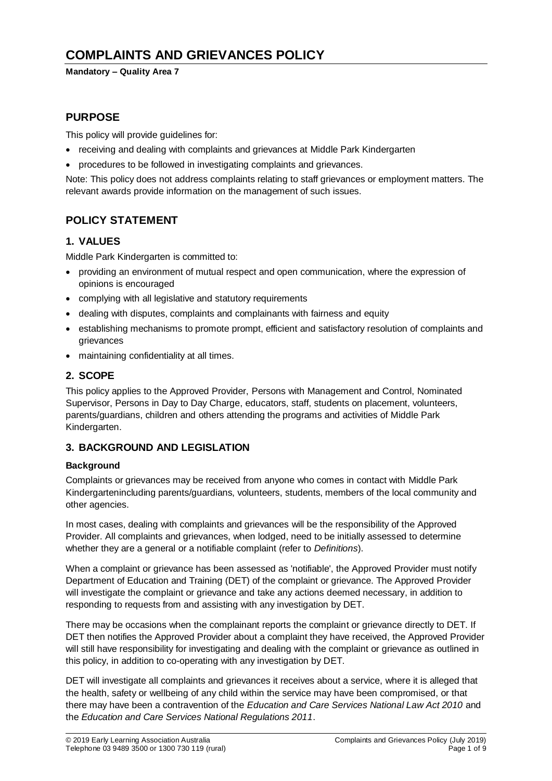# **COMPLAINTS AND GRIEVANCES POLICY**

### **Mandatory – Quality Area 7**

## **PURPOSE**

This policy will provide guidelines for:

- receiving and dealing with complaints and grievances at Middle Park Kindergarten
- procedures to be followed in investigating complaints and grievances.

Note: This policy does not address complaints relating to staff grievances or employment matters. The relevant awards provide information on the management of such issues.

## **POLICY STATEMENT**

### **1. VALUES**

Middle Park Kindergarten is committed to:

- providing an environment of mutual respect and open communication, where the expression of opinions is encouraged
- complying with all legislative and statutory requirements
- dealing with disputes, complaints and complainants with fairness and equity
- establishing mechanisms to promote prompt, efficient and satisfactory resolution of complaints and grievances
- maintaining confidentiality at all times.

### **2. SCOPE**

This policy applies to the Approved Provider, Persons with Management and Control, Nominated Supervisor, Persons in Day to Day Charge, educators, staff, students on placement, volunteers, parents/guardians, children and others attending the programs and activities of Middle Park Kindergarten.

### **3. BACKGROUND AND LEGISLATION**

### **Background**

Complaints or grievances may be received from anyone who comes in contact with Middle Park Kindergartenincluding parents/guardians, volunteers, students, members of the local community and other agencies.

In most cases, dealing with complaints and grievances will be the responsibility of the Approved Provider. All complaints and grievances, when lodged, need to be initially assessed to determine whether they are a general or a notifiable complaint (refer to *Definitions*).

When a complaint or grievance has been assessed as 'notifiable', the Approved Provider must notify Department of Education and Training (DET) of the complaint or grievance. The Approved Provider will investigate the complaint or grievance and take any actions deemed necessary, in addition to responding to requests from and assisting with any investigation by DET.

There may be occasions when the complainant reports the complaint or grievance directly to DET. If DET then notifies the Approved Provider about a complaint they have received, the Approved Provider will still have responsibility for investigating and dealing with the complaint or grievance as outlined in this policy, in addition to co-operating with any investigation by DET.

DET will investigate all complaints and grievances it receives about a service, where it is alleged that the health, safety or wellbeing of any child within the service may have been compromised, or that there may have been a contravention of the *Education and Care Services National Law Act 2010* and the *Education and Care Services National Regulations 2011*.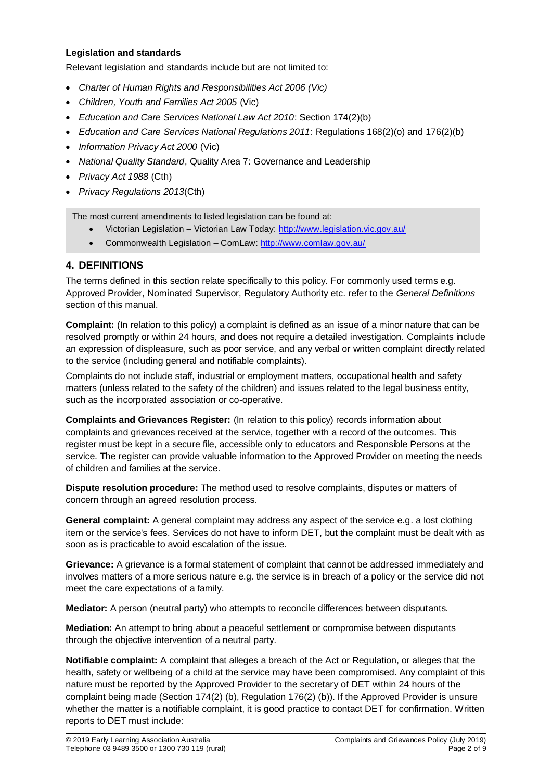### **Legislation and standards**

Relevant legislation and standards include but are not limited to:

- *Charter of Human Rights and Responsibilities Act 2006 (Vic)*
- *Children, Youth and Families Act 2005* (Vic)
- *Education and Care Services National Law Act 2010*: Section 174(2)(b)
- *Education and Care Services National Regulations 2011*: Regulations 168(2)(o) and 176(2)(b)
- *Information Privacy Act 2000* (Vic)
- *National Quality Standard*, Quality Area 7: Governance and Leadership
- *Privacy Act 1988* (Cth)
- *Privacy Regulations 2013*(Cth)

The most current amendments to listed legislation can be found at:

- Victorian Legislation Victorian Law Today:<http://www.legislation.vic.gov.au/>
- Commonwealth Legislation ComLaw:<http://www.comlaw.gov.au/>

### **4. DEFINITIONS**

The terms defined in this section relate specifically to this policy. For commonly used terms e.g. Approved Provider, Nominated Supervisor, Regulatory Authority etc. refer to the *General Definitions* section of this manual.

**Complaint:** (In relation to this policy) a complaint is defined as an issue of a minor nature that can be resolved promptly or within 24 hours, and does not require a detailed investigation. Complaints include an expression of displeasure, such as poor service, and any verbal or written complaint directly related to the service (including general and notifiable complaints).

Complaints do not include staff, industrial or employment matters, occupational health and safety matters (unless related to the safety of the children) and issues related to the legal business entity, such as the incorporated association or co-operative.

**Complaints and Grievances Register:** (In relation to this policy) records information about complaints and grievances received at the service, together with a record of the outcomes. This register must be kept in a secure file, accessible only to educators and Responsible Persons at the service. The register can provide valuable information to the Approved Provider on meeting the needs of children and families at the service.

**Dispute resolution procedure:** The method used to resolve complaints, disputes or matters of concern through an agreed resolution process.

**General complaint:** A general complaint may address any aspect of the service e.g. a lost clothing item or the service's fees. Services do not have to inform DET, but the complaint must be dealt with as soon as is practicable to avoid escalation of the issue.

**Grievance:** A grievance is a formal statement of complaint that cannot be addressed immediately and involves matters of a more serious nature e.g. the service is in breach of a policy or the service did not meet the care expectations of a family.

**Mediator:** A person (neutral party) who attempts to reconcile differences between disputants.

**Mediation:** An attempt to bring about a peaceful settlement or compromise between disputants through the objective intervention of a neutral party.

**Notifiable complaint:** A complaint that alleges a breach of the Act or Regulation, or alleges that the health, safety or wellbeing of a child at the service may have been compromised. Any complaint of this nature must be reported by the Approved Provider to the secretary of DET within 24 hours of the complaint being made (Section 174(2) (b), Regulation 176(2) (b)). If the Approved Provider is unsure whether the matter is a notifiable complaint, it is good practice to contact DET for confirmation. Written reports to DET must include: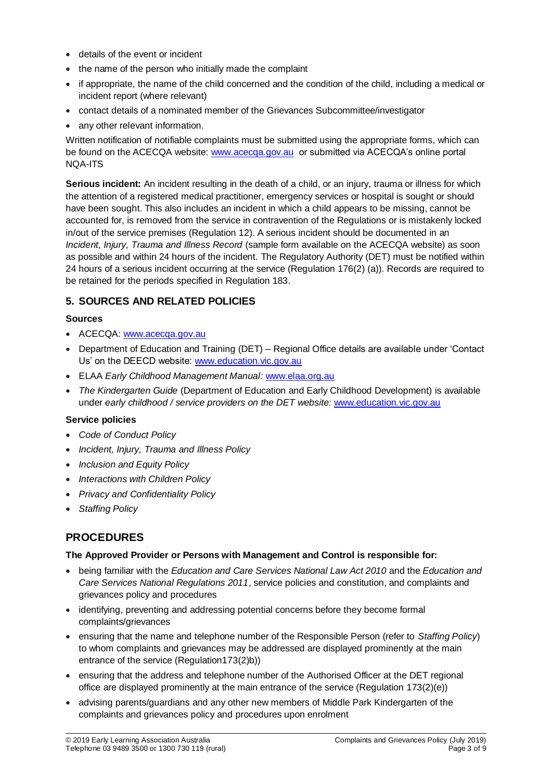- details of the event or incident
- the name of the person who initially made the complaint
- if appropriate, the name of the child concerned and the condition of the child, including a medical or incident report (where relevant)
- contact details of a nominated member of the Grievances Subcommittee/investigator
- any other relevant information.

Written notification of notifiable complaints must be submitted using the appropriate forms, which can be found on the ACECQA website: [www.acecqa.gov.au](http://www.acecqa.gov.au/) or submitted via ACECQA's online portal NQA-ITS

**Serious incident:** An incident resulting in the death of a child, or an injury, trauma or illness for which the attention of a registered medical practitioner, emergency services or hospital is sought or should have been sought. This also includes an incident in which a child appears to be missing, cannot be accounted for, is removed from the service in contravention of the Regulations or is mistakenly locked in/out of the service premises (Regulation 12). A serious incident should be documented in an *Incident, Injury, Trauma and Illness Record* (sample form available on the ACECQA website) as soon as possible and within 24 hours of the incident. The Regulatory Authority (DET) must be notified within 24 hours of a serious incident occurring at the service (Regulation 176(2) (a)). Records are required to be retained for the periods specified in Regulation 183.

## **5. SOURCES AND RELATED POLICIES**

### **Sources**

- ACECQA: [www.acecqa.gov.au](http://www.acecqa.gov.au/)
- Department of Education and Training (DET) Regional Office details are available under 'Contact Us' on the DEECD website: [www.education.vic.gov.au](http://www.education.vic.gov.au/)
- ELAA *Early Childhood Management Manual:* [www.elaa.org.au](http://www.elaa.org.au/)
- *The Kindergarten Guide* (Department of Education and Early Childhood Development) is available under *early childhood / service providers on the DET website:* [www.education.vic.gov.au](http://www.education.vic.gov.au/)

### **Service policies**

- *Code of Conduct Policy*
- *Incident, Injury, Trauma and Illness Policy*
- *Inclusion and Equity Policy*
- *Interactions with Children Policy*
- *Privacy and Confidentiality Policy*
- *Staffing Policy*

## **PROCEDURES**

### **The Approved Provider or Persons with Management and Control is responsible for:**

- being familiar with the *Education and Care Services National Law Act 2010* and the *Education and Care Services National Regulations 2011*, service policies and constitution, and complaints and grievances policy and procedures
- identifying, preventing and addressing potential concerns before they become formal complaints/grievances
- ensuring that the name and telephone number of the Responsible Person (refer to *Staffing Policy*) to whom complaints and grievances may be addressed are displayed prominently at the main entrance of the service (Regulation173(2)b))
- ensuring that the address and telephone number of the Authorised Officer at the DET regional office are displayed prominently at the main entrance of the service (Regulation 173(2)(e))
- advising parents/guardians and any other new members of Middle Park Kindergarten of the complaints and grievances policy and procedures upon enrolment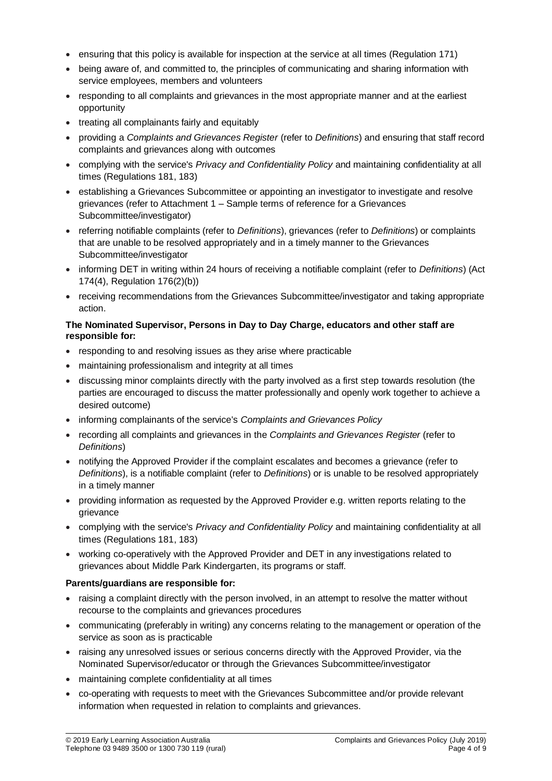- ensuring that this policy is available for inspection at the service at all times (Regulation 171)
- being aware of, and committed to, the principles of communicating and sharing information with service employees, members and volunteers
- responding to all complaints and grievances in the most appropriate manner and at the earliest opportunity
- treating all complainants fairly and equitably
- providing a *Complaints and Grievances Register* (refer to *Definitions*) and ensuring that staff record complaints and grievances along with outcomes
- complying with the service's *Privacy and Confidentiality Policy* and maintaining confidentiality at all times (Regulations 181, 183)
- establishing a Grievances Subcommittee or appointing an investigator to investigate and resolve grievances (refer to Attachment 1 – Sample terms of reference for a Grievances Subcommittee/investigator)
- referring notifiable complaints (refer to *Definitions*), grievances (refer to *Definitions*) or complaints that are unable to be resolved appropriately and in a timely manner to the Grievances Subcommittee/investigator
- informing DET in writing within 24 hours of receiving a notifiable complaint (refer to *Definitions*) (Act 174(4), Regulation 176(2)(b))
- receiving recommendations from the Grievances Subcommittee/investigator and taking appropriate action.

### **The Nominated Supervisor, Persons in Day to Day Charge, educators and other staff are responsible for:**

- responding to and resolving issues as they arise where practicable
- maintaining professionalism and integrity at all times
- discussing minor complaints directly with the party involved as a first step towards resolution (the parties are encouraged to discuss the matter professionally and openly work together to achieve a desired outcome)
- informing complainants of the service's *Complaints and Grievances Policy*
- recording all complaints and grievances in the *Complaints and Grievances Register* (refer to *Definitions*)
- notifying the Approved Provider if the complaint escalates and becomes a grievance (refer to *Definitions*), is a notifiable complaint (refer to *Definitions*) or is unable to be resolved appropriately in a timely manner
- providing information as requested by the Approved Provider e.g. written reports relating to the grievance
- complying with the service's *Privacy and Confidentiality Policy* and maintaining confidentiality at all times (Regulations 181, 183)
- working co-operatively with the Approved Provider and DET in any investigations related to grievances about Middle Park Kindergarten, its programs or staff.

### **Parents/guardians are responsible for:**

- raising a complaint directly with the person involved, in an attempt to resolve the matter without recourse to the complaints and grievances procedures
- communicating (preferably in writing) any concerns relating to the management or operation of the service as soon as is practicable
- raising any unresolved issues or serious concerns directly with the Approved Provider, via the Nominated Supervisor/educator or through the Grievances Subcommittee/investigator
- maintaining complete confidentiality at all times
- co-operating with requests to meet with the Grievances Subcommittee and/or provide relevant information when requested in relation to complaints and grievances.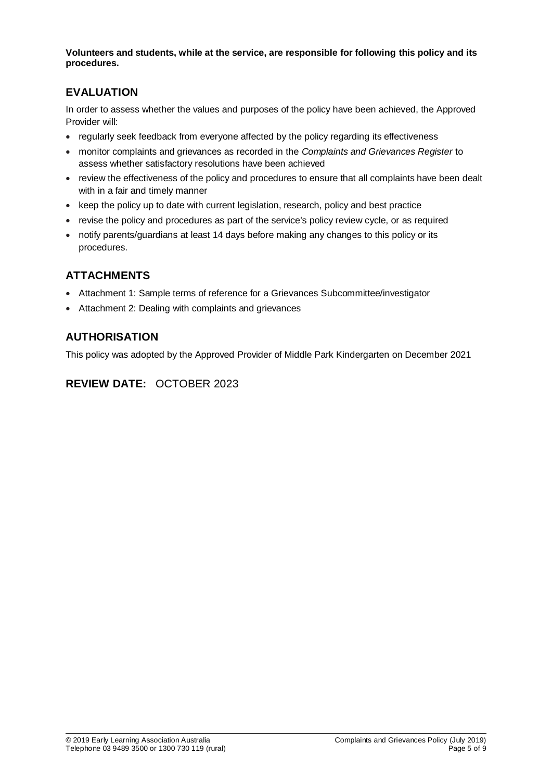**Volunteers and students, while at the service, are responsible for following this policy and its procedures.**

## **EVALUATION**

In order to assess whether the values and purposes of the policy have been achieved, the Approved Provider will:

- regularly seek feedback from everyone affected by the policy regarding its effectiveness
- monitor complaints and grievances as recorded in the *Complaints and Grievances Register* to assess whether satisfactory resolutions have been achieved
- review the effectiveness of the policy and procedures to ensure that all complaints have been dealt with in a fair and timely manner
- keep the policy up to date with current legislation, research, policy and best practice
- revise the policy and procedures as part of the service's policy review cycle, or as required
- notify parents/guardians at least 14 days before making any changes to this policy or its procedures.

## **ATTACHMENTS**

- Attachment 1: Sample terms of reference for a Grievances Subcommittee/investigator
- Attachment 2: Dealing with complaints and grievances

## **AUTHORISATION**

This policy was adopted by the Approved Provider of Middle Park Kindergarten on December 2021

## **REVIEW DATE:** OCTOBER 2023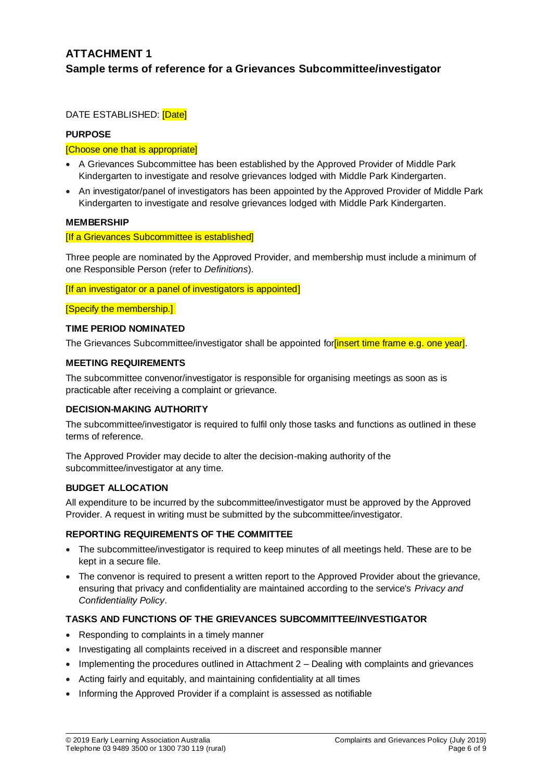## **ATTACHMENT 1 Sample terms of reference for a Grievances Subcommittee/investigator**

DATE ESTABLISHED: [Date]

### **PURPOSE**

### [Choose one that is appropriate]

- A Grievances Subcommittee has been established by the Approved Provider of Middle Park Kindergarten to investigate and resolve grievances lodged with Middle Park Kindergarten.
- An investigator/panel of investigators has been appointed by the Approved Provider of Middle Park Kindergarten to investigate and resolve grievances lodged with Middle Park Kindergarten.

#### **MEMBERSHIP**

#### [If a Grievances Subcommittee is established]

Three people are nominated by the Approved Provider, and membership must include a minimum of one Responsible Person (refer to *Definitions*).

[If an investigator or a panel of investigators is appointed]

[Specify the membership.]

### **TIME PERIOD NOMINATED**

The Grievances Subcommittee/investigator shall be appointed for *finsert time frame e.g.* one year.

### **MEETING REQUIREMENTS**

The subcommittee convenor/investigator is responsible for organising meetings as soon as is practicable after receiving a complaint or grievance.

#### **DECISION-MAKING AUTHORITY**

The subcommittee/investigator is required to fulfil only those tasks and functions as outlined in these terms of reference.

The Approved Provider may decide to alter the decision-making authority of the subcommittee/investigator at any time.

### **BUDGET ALLOCATION**

All expenditure to be incurred by the subcommittee/investigator must be approved by the Approved Provider. A request in writing must be submitted by the subcommittee/investigator.

### **REPORTING REQUIREMENTS OF THE COMMITTEE**

- The subcommittee/investigator is required to keep minutes of all meetings held. These are to be kept in a secure file.
- The convenor is required to present a written report to the Approved Provider about the grievance, ensuring that privacy and confidentiality are maintained according to the service's *Privacy and Confidentiality Policy*.

### **TASKS AND FUNCTIONS OF THE GRIEVANCES SUBCOMMITTEE/INVESTIGATOR**

- Responding to complaints in a timely manner
- Investigating all complaints received in a discreet and responsible manner
- Implementing the procedures outlined in Attachment 2 Dealing with complaints and grievances
- Acting fairly and equitably, and maintaining confidentiality at all times
- Informing the Approved Provider if a complaint is assessed as notifiable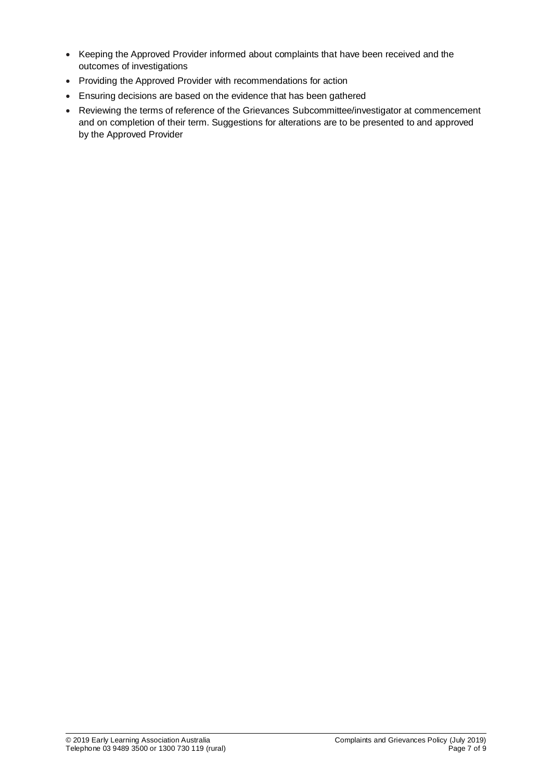- Keeping the Approved Provider informed about complaints that have been received and the outcomes of investigations
- Providing the Approved Provider with recommendations for action
- Ensuring decisions are based on the evidence that has been gathered
- Reviewing the terms of reference of the Grievances Subcommittee/investigator at commencement and on completion of their term. Suggestions for alterations are to be presented to and approved by the Approved Provider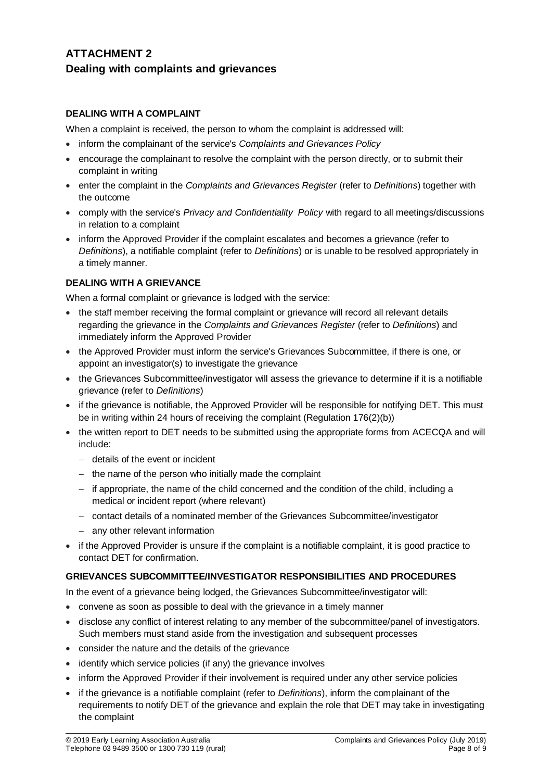## **ATTACHMENT 2 Dealing with complaints and grievances**

### **DEALING WITH A COMPLAINT**

When a complaint is received, the person to whom the complaint is addressed will:

- inform the complainant of the service's *Complaints and Grievances Policy*
- encourage the complainant to resolve the complaint with the person directly, or to submit their complaint in writing
- enter the complaint in the *Complaints and Grievances Register* (refer to *Definitions*) together with the outcome
- comply with the service's *Privacy and Confidentiality Policy* with regard to all meetings/discussions in relation to a complaint
- inform the Approved Provider if the complaint escalates and becomes a grievance (refer to *Definitions*), a notifiable complaint (refer to *Definitions*) or is unable to be resolved appropriately in a timely manner.

### **DEALING WITH A GRIEVANCE**

When a formal complaint or grievance is lodged with the service:

- the staff member receiving the formal complaint or grievance will record all relevant details regarding the grievance in the *Complaints and Grievances Register* (refer to *Definitions*) and immediately inform the Approved Provider
- the Approved Provider must inform the service's Grievances Subcommittee, if there is one, or appoint an investigator(s) to investigate the grievance
- the Grievances Subcommittee/investigator will assess the grievance to determine if it is a notifiable grievance (refer to *Definitions*)
- if the grievance is notifiable, the Approved Provider will be responsible for notifying DET. This must be in writing within 24 hours of receiving the complaint (Regulation 176(2)(b))
- the written report to DET needs to be submitted using the appropriate forms from ACECQA and will include:
	- details of the event or incident
	- $-$  the name of the person who initially made the complaint
	- if appropriate, the name of the child concerned and the condition of the child, including a medical or incident report (where relevant)
	- contact details of a nominated member of the Grievances Subcommittee/investigator
	- any other relevant information
- if the Approved Provider is unsure if the complaint is a notifiable complaint, it is good practice to contact DET for confirmation.

### **GRIEVANCES SUBCOMMITTEE/INVESTIGATOR RESPONSIBILITIES AND PROCEDURES**

In the event of a grievance being lodged, the Grievances Subcommittee/investigator will:

- convene as soon as possible to deal with the grievance in a timely manner
- disclose any conflict of interest relating to any member of the subcommittee/panel of investigators. Such members must stand aside from the investigation and subsequent processes
- consider the nature and the details of the grievance
- identify which service policies (if any) the grievance involves
- inform the Approved Provider if their involvement is required under any other service policies
- if the grievance is a notifiable complaint (refer to *Definitions*), inform the complainant of the requirements to notify DET of the grievance and explain the role that DET may take in investigating the complaint